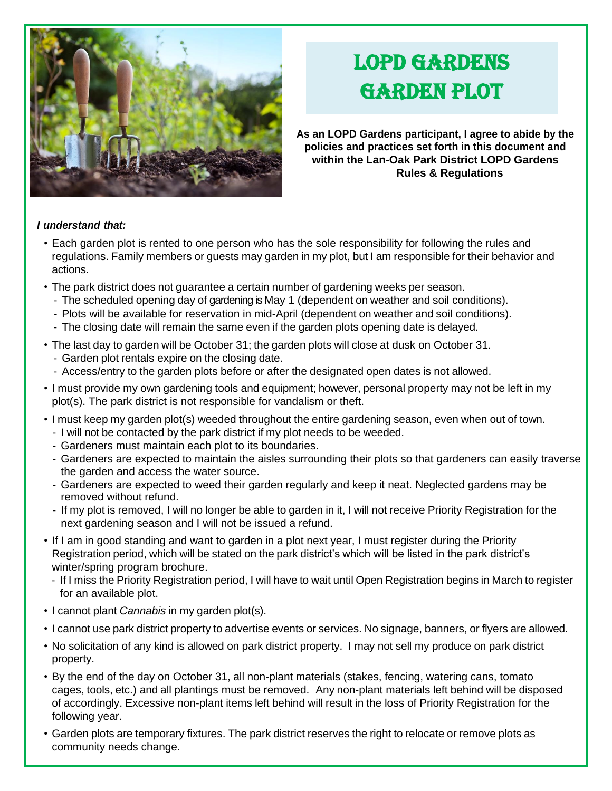

## LOPD GARDENS Garden Plot

**As an LOPD Gardens participant, I agree to abide by the**  Agreement **policies and practices set forth in this document and within the Lan-Oak Park District LOPD Gardens Rules & Regulations**

## *I understand that:*

- Each garden plot is rented to one person who has the sole responsibility for following the rules and regulations. Family members or guests may garden in my plot, but I am responsible for their behavior and actions.
- The park district does not guarantee a certain number of gardening weeks per season.
	- The scheduled opening day of gardening is May 1 (dependent on weather and soil conditions).
	- Plots will be available for reservation in mid-April (dependent on weather and soil conditions).
	- The closing date will remain the same even if the garden plots opening date is delayed.
- The last day to garden will be October 31; the garden plots will close at dusk on October 31.
	- Garden plot rentals expire on the closing date.
	- Access/entry to the garden plots before or after the designated open dates is not allowed.
- I must provide my own gardening tools and equipment; however, personal property may not be left in my plot(s). The park district is not responsible for vandalism or theft.
- I must keep my garden plot(s) weeded throughout the entire gardening season, even when out of town.
	- I will not be contacted by the park district if my plot needs to be weeded.
	- Gardeners must maintain each plot to its boundaries.
	- Gardeners are expected to maintain the aisles surrounding their plots so that gardeners can easily traverse the garden and access the water source.
	- Gardeners are expected to weed their garden regularly and keep it neat. Neglected gardens may be removed without refund.
	- If my plot is removed, I will no longer be able to garden in it, I will not receive Priority Registration for the next gardening season and I will not be issued a refund.
- If I am in good standing and want to garden in a plot next year, I must register during the Priority Registration period, which will be stated on the park district's which will be listed in the park district's winter/spring program brochure.
	- If I miss the Priority Registration period, I will have to wait until Open Registration begins in March to register for an available plot.
- I cannot plant *Cannabis* in my garden plot(s).
- I cannot use park district property to advertise events or services. No signage, banners, or flyers are allowed.
- No solicitation of any kind is allowed on park district property. I may not sell my produce on park district property.
- By the end of the day on October 31, all non-plant materials (stakes, fencing, watering cans, tomato cages, tools, etc.) and all plantings must be removed. Any non-plant materials left behind will be disposed of accordingly. Excessive non-plant items left behind will result in the loss of Priority Registration for the following year.
- Garden plots are temporary fixtures. The park district reserves the right to relocate or remove plots as community needs change.